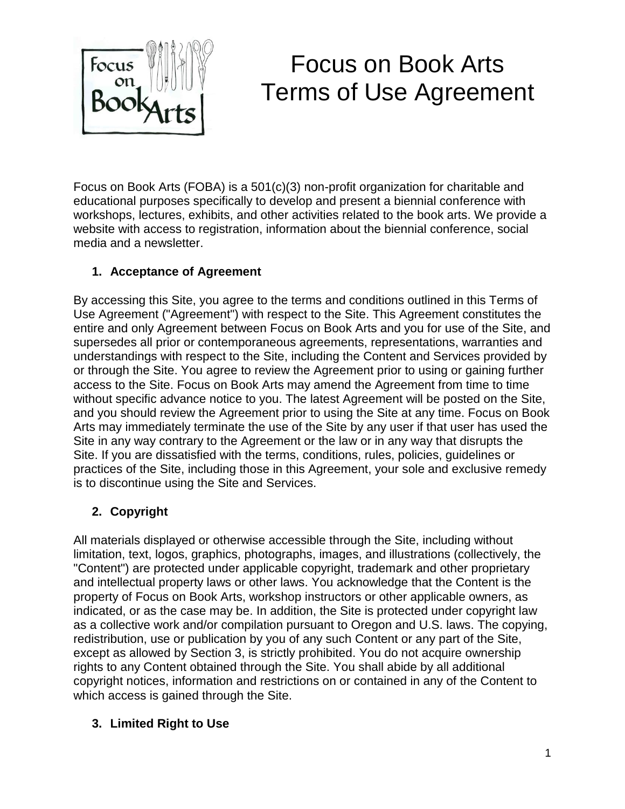

# Focus on Book Arts Terms of Use Agreement

Focus on Book Arts (FOBA) is a 501(c)(3) non-profit organization for charitable and educational purposes specifically to develop and present a biennial conference with workshops, lectures, exhibits, and other activities related to the book arts. We provide a website with access to registration, information about the biennial conference, social media and a newsletter.

### **1. Acceptance of Agreement**

By accessing this Site, you agree to the terms and conditions outlined in this Terms of Use Agreement ("Agreement") with respect to the Site. This Agreement constitutes the entire and only Agreement between Focus on Book Arts and you for use of the Site, and supersedes all prior or contemporaneous agreements, representations, warranties and understandings with respect to the Site, including the Content and Services provided by or through the Site. You agree to review the Agreement prior to using or gaining further access to the Site. Focus on Book Arts may amend the Agreement from time to time without specific advance notice to you. The latest Agreement will be posted on the Site, and you should review the Agreement prior to using the Site at any time. Focus on Book Arts may immediately terminate the use of the Site by any user if that user has used the Site in any way contrary to the Agreement or the law or in any way that disrupts the Site. If you are dissatisfied with the terms, conditions, rules, policies, guidelines or practices of the Site, including those in this Agreement, your sole and exclusive remedy is to discontinue using the Site and Services.

# **2. Copyright**

All materials displayed or otherwise accessible through the Site, including without limitation, text, logos, graphics, photographs, images, and illustrations (collectively, the "Content") are protected under applicable copyright, trademark and other proprietary and intellectual property laws or other laws. You acknowledge that the Content is the property of Focus on Book Arts, workshop instructors or other applicable owners, as indicated, or as the case may be. In addition, the Site is protected under copyright law as a collective work and/or compilation pursuant to Oregon and U.S. laws. The copying, redistribution, use or publication by you of any such Content or any part of the Site, except as allowed by Section 3, is strictly prohibited. You do not acquire ownership rights to any Content obtained through the Site. You shall abide by all additional copyright notices, information and restrictions on or contained in any of the Content to which access is gained through the Site.

#### **3. Limited Right to Use**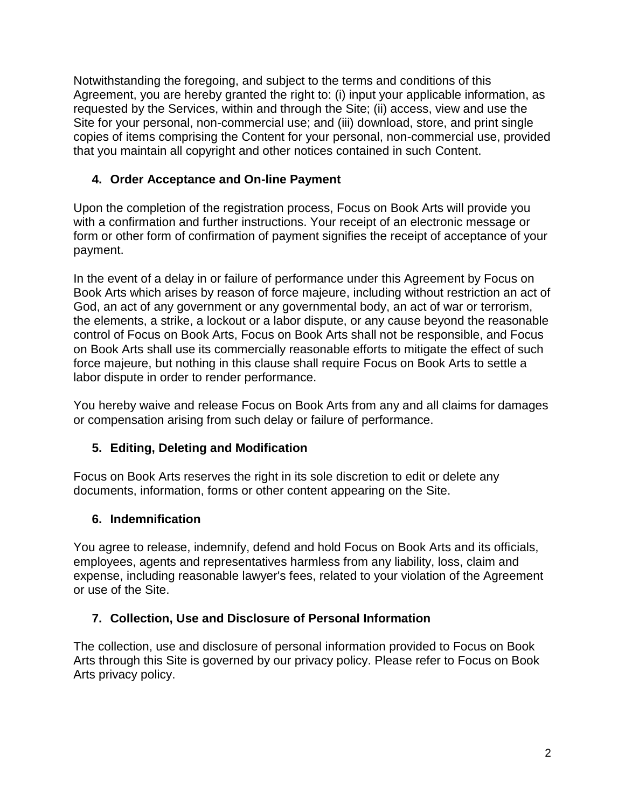Notwithstanding the foregoing, and subject to the terms and conditions of this Agreement, you are hereby granted the right to: (i) input your applicable information, as requested by the Services, within and through the Site; (ii) access, view and use the Site for your personal, non-commercial use; and (iii) download, store, and print single copies of items comprising the Content for your personal, non-commercial use, provided that you maintain all copyright and other notices contained in such Content.

# **4. Order Acceptance and On-line Payment**

Upon the completion of the registration process, Focus on Book Arts will provide you with a confirmation and further instructions. Your receipt of an electronic message or form or other form of confirmation of payment signifies the receipt of acceptance of your payment.

In the event of a delay in or failure of performance under this Agreement by Focus on Book Arts which arises by reason of force majeure, including without restriction an act of God, an act of any government or any governmental body, an act of war or terrorism, the elements, a strike, a lockout or a labor dispute, or any cause beyond the reasonable control of Focus on Book Arts, Focus on Book Arts shall not be responsible, and Focus on Book Arts shall use its commercially reasonable efforts to mitigate the effect of such force majeure, but nothing in this clause shall require Focus on Book Arts to settle a labor dispute in order to render performance.

You hereby waive and release Focus on Book Arts from any and all claims for damages or compensation arising from such delay or failure of performance.

# **5. Editing, Deleting and Modification**

Focus on Book Arts reserves the right in its sole discretion to edit or delete any documents, information, forms or other content appearing on the Site.

#### **6. Indemnification**

You agree to release, indemnify, defend and hold Focus on Book Arts and its officials, employees, agents and representatives harmless from any liability, loss, claim and expense, including reasonable lawyer's fees, related to your violation of the Agreement or use of the Site.

# **7. Collection, Use and Disclosure of Personal Information**

The collection, use and disclosure of personal information provided to Focus on Book Arts through this Site is governed by our privacy policy. Please refer to Focus on Book Arts privacy policy.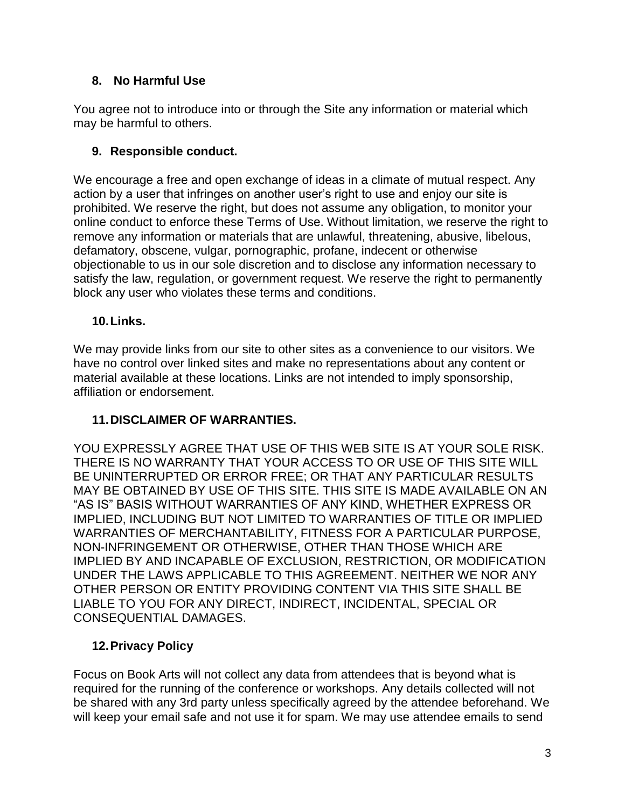## **8. No Harmful Use**

You agree not to introduce into or through the Site any information or material which may be harmful to others.

### **9. Responsible conduct.**

We encourage a free and open exchange of ideas in a climate of mutual respect. Any action by a user that infringes on another user's right to use and enjoy our site is prohibited. We reserve the right, but does not assume any obligation, to monitor your online conduct to enforce these Terms of Use. Without limitation, we reserve the right to remove any information or materials that are unlawful, threatening, abusive, libelous, defamatory, obscene, vulgar, pornographic, profane, indecent or otherwise objectionable to us in our sole discretion and to disclose any information necessary to satisfy the law, regulation, or government request. We reserve the right to permanently block any user who violates these terms and conditions.

#### **10.Links.**

We may provide links from our site to other sites as a convenience to our visitors. We have no control over linked sites and make no representations about any content or material available at these locations. Links are not intended to imply sponsorship, affiliation or endorsement.

#### **11.DISCLAIMER OF WARRANTIES.**

YOU EXPRESSLY AGREE THAT USE OF THIS WEB SITE IS AT YOUR SOLE RISK. THERE IS NO WARRANTY THAT YOUR ACCESS TO OR USE OF THIS SITE WILL BE UNINTERRUPTED OR ERROR FREE; OR THAT ANY PARTICULAR RESULTS MAY BE OBTAINED BY USE OF THIS SITE. THIS SITE IS MADE AVAILABLE ON AN "AS IS" BASIS WITHOUT WARRANTIES OF ANY KIND, WHETHER EXPRESS OR IMPLIED, INCLUDING BUT NOT LIMITED TO WARRANTIES OF TITLE OR IMPLIED WARRANTIES OF MERCHANTABILITY, FITNESS FOR A PARTICULAR PURPOSE, NON-INFRINGEMENT OR OTHERWISE, OTHER THAN THOSE WHICH ARE IMPLIED BY AND INCAPABLE OF EXCLUSION, RESTRICTION, OR MODIFICATION UNDER THE LAWS APPLICABLE TO THIS AGREEMENT. NEITHER WE NOR ANY OTHER PERSON OR ENTITY PROVIDING CONTENT VIA THIS SITE SHALL BE LIABLE TO YOU FOR ANY DIRECT, INDIRECT, INCIDENTAL, SPECIAL OR CONSEQUENTIAL DAMAGES.

# **12.Privacy Policy**

Focus on Book Arts will not collect any data from attendees that is beyond what is required for the running of the conference or workshops. Any details collected will not be shared with any 3rd party unless specifically agreed by the attendee beforehand. We will keep your email safe and not use it for spam. We may use attendee emails to send